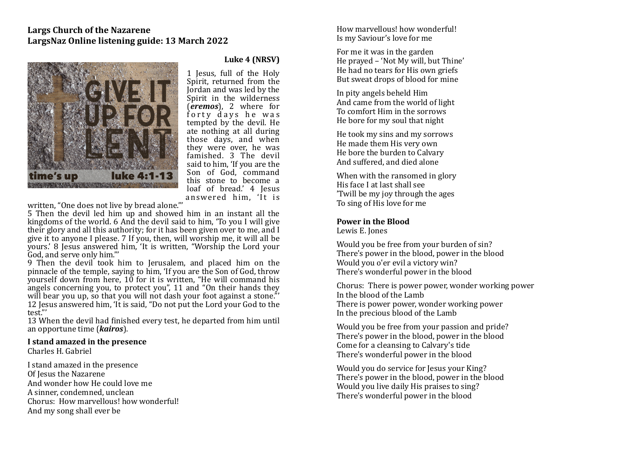# **Largs Church of the Nazarene** LargsNaz Online listening guide: 13 March 2022



### Luke 4 (NRSV)

1 Iesus, full of the Holy Spirit, returned from the Jordan and was led by the Spirit in the wilderness (*eremos*), 2 where for forty days he was tempted by the devil. He ate nothing at all during those days, and when they were over, he was famished. 3 The devil said to him. The you are the Son of God, command this stone to become a loaf of bread.' 4 Jesus answered him, 'It is

written, "One does not live by bread alone."

5 Then the devil led him up and showed him in an instant all the kingdoms of the world.  $6$  And the devil said to him, 'To you I will give their glory and all this authority; for it has been given over to me, and I give it to anyone I please.  $7$  If you, then, will worship me, it will all be vours.' 8 Jesus answered him, 'It is written, "Worship the Lord your God, and serve only him."

9 Then the devil took him to Jerusalem, and placed him on the pinnacle of the temple, saying to him, 'If you are the Son of God, throw vourself down from here,  $10$  for it is written, "He will command his angels concerning you, to protect you", 11 and "On their hands they will bear you up, so that you will not dash your foot against a stone." 12 Jesus answered him, 'It is said, "Do not put the Lord your God to the test."' 

13 When the devil had finished every test, he departed from him until an opportune time *(kairos)*.

#### **I** stand amazed in the presence

Charles H. Gabriel 

I stand amazed in the presence Of Iesus the Nazarene And wonder how He could love me A sinner, condemned, unclean Chorus: How marvellous! how wonderful! And my song shall ever be

How marvellous! how wonderful! Is my Saviour's love for me

For me it was in the garden He prayed - 'Not My will, but Thine' He had no tears for His own griefs But sweat drops of blood for mine

In pity angels beheld Him And came from the world of light To comfort Him in the sorrows He bore for my soul that night

He took my sins and my sorrows He made them His very own He bore the burden to Calvary And suffered, and died alone

When with the ransomed in glory His face I at last shall see 'Twill be my joy through the ages To sing of His love for me

## **Power in the Blood**

Lewis E. Jones

Would you be free from your burden of sin? There's power in the blood, power in the blood Would you o'er evil a victory win? There's wonderful power in the blood

Chorus: There is power power, wonder working power In the blood of the Lamb There is power power, wonder working power In the precious blood of the Lamb

Would you be free from your passion and pride? There's power in the blood, power in the blood Come for a cleansing to Calvary's tide There's wonderful power in the blood

Would you do service for Jesus your King? There's power in the blood, power in the blood Would you live daily His praises to sing? There's wonderful power in the blood